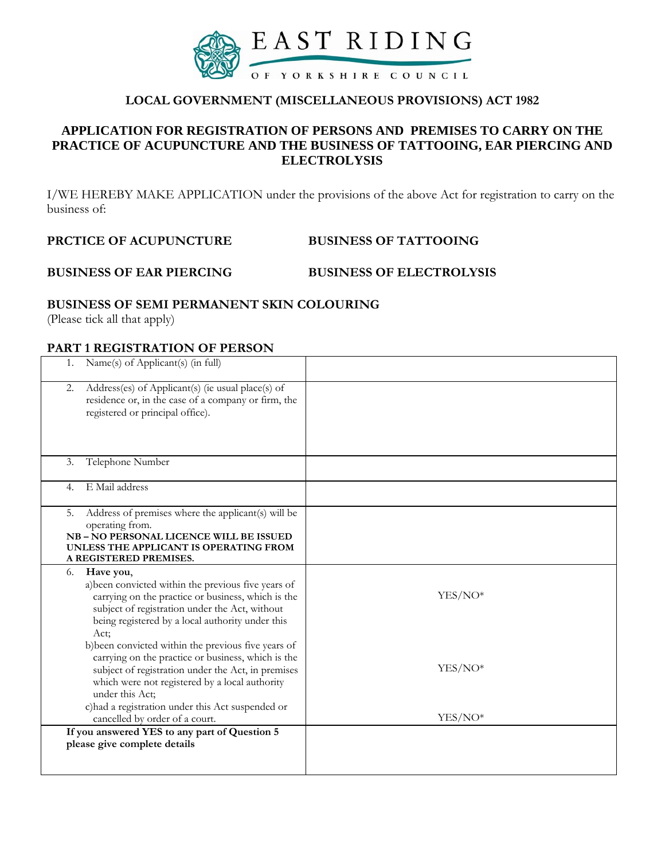

# **LOCAL GOVERNMENT (MISCELLANEOUS PROVISIONS) ACT 1982**

# **APPLICATION FOR REGISTRATION OF PERSONS AND PREMISES TO CARRY ON THE PRACTICE OF ACUPUNCTURE AND THE BUSINESS OF TATTOOING, EAR PIERCING AND ELECTROLYSIS**

I/WE HEREBY MAKE APPLICATION under the provisions of the above Act for registration to carry on the business of:

**PRCTICE OF ACUPUNCTURE BUSINESS OF TATTOOING** 

### **BUSINESS OF EAR PIERCING BUSINESS OF ELECTROLYSIS**

#### **BUSINESS OF SEMI PERMANENT SKIN COLOURING**

(Please tick all that apply)

## **PART 1 REGISTRATION OF PERSON**

| Name(s) of Applicant(s) (in full)<br>1.                                                                                                                                                                                                                                                   |           |
|-------------------------------------------------------------------------------------------------------------------------------------------------------------------------------------------------------------------------------------------------------------------------------------------|-----------|
| Address(es) of Applicant(s) (ie usual place(s) of<br>2.<br>residence or, in the case of a company or firm, the<br>registered or principal office).                                                                                                                                        |           |
| Telephone Number<br>3.                                                                                                                                                                                                                                                                    |           |
| E Mail address<br>4.                                                                                                                                                                                                                                                                      |           |
| Address of premises where the applicant(s) will be<br>5.<br>operating from.<br>NB-NO PERSONAL LICENCE WILL BE ISSUED<br>UNLESS THE APPLICANT IS OPERATING FROM<br>A REGISTERED PREMISES.                                                                                                  |           |
| Have you,<br>6.<br>a) been convicted within the previous five years of<br>carrying on the practice or business, which is the<br>subject of registration under the Act, without<br>being registered by a local authority under this<br>Act:                                                | $YES/NO*$ |
| b) been convicted within the previous five years of<br>carrying on the practice or business, which is the<br>subject of registration under the Act, in premises<br>which were not registered by a local authority<br>under this Act;<br>c) had a registration under this Act suspended or | YES/NO*   |
| cancelled by order of a court.                                                                                                                                                                                                                                                            | YES/NO*   |
| If you answered YES to any part of Question 5                                                                                                                                                                                                                                             |           |
| please give complete details                                                                                                                                                                                                                                                              |           |
|                                                                                                                                                                                                                                                                                           |           |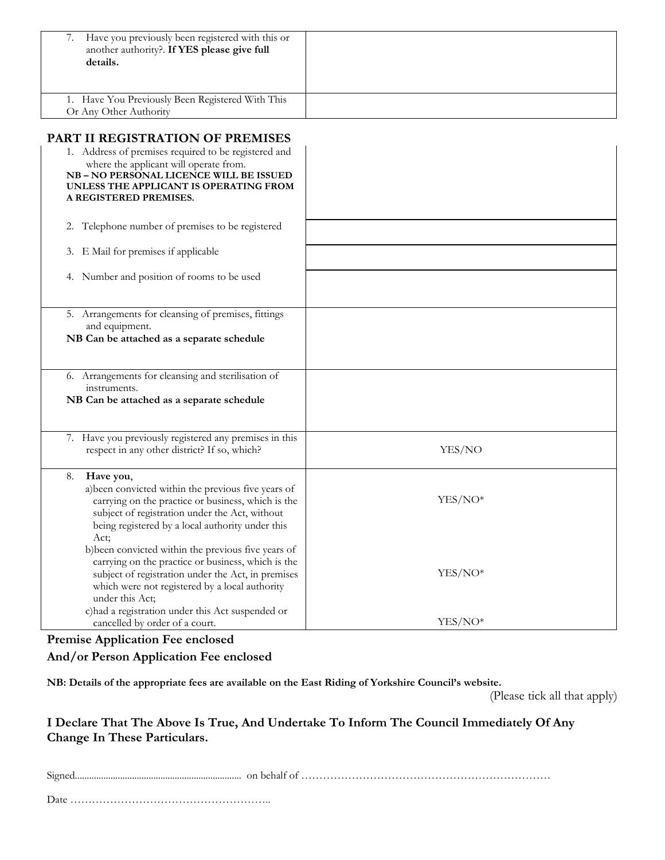| 7. Have you previously been registered with this or<br>another authority?. If YES please give full<br>details. |  |
|----------------------------------------------------------------------------------------------------------------|--|
| 1. Have You Previously Been Registered With This<br>Or Any Other Authority                                     |  |

# **PART II REGISTRATION OF PREMISES**

| 1. Address of premises required to be registered and<br>where the applicant will operate from.<br>NB-NO PERSONAL LICENCE WILL BE ISSUED<br>UNLESS THE APPLICANT IS OPERATING FROM<br>A REGISTERED PREMISES.                                |         |
|--------------------------------------------------------------------------------------------------------------------------------------------------------------------------------------------------------------------------------------------|---------|
| Telephone number of premises to be registered<br>2.                                                                                                                                                                                        |         |
| E Mail for premises if applicable<br>3.                                                                                                                                                                                                    |         |
| 4. Number and position of rooms to be used                                                                                                                                                                                                 |         |
| 5. Arrangements for cleansing of premises, fittings<br>and equipment.<br>NB Can be attached as a separate schedule                                                                                                                         |         |
| 6. Arrangements for cleansing and sterilisation of<br>instruments.<br>NB Can be attached as a separate schedule                                                                                                                            |         |
| 7. Have you previously registered any premises in this<br>respect in any other district? If so, which?                                                                                                                                     | YES/NO  |
| Have you,<br>8.<br>a) been convicted within the previous five years of<br>carrying on the practice or business, which is the<br>subject of registration under the Act, without<br>being registered by a local authority under this<br>Act: | YES/NO* |
| b) been convicted within the previous five years of<br>carrying on the practice or business, which is the<br>subject of registration under the Act, in premises<br>which were not registered by a local authority<br>under this Act;       | YES/NO* |
| c) had a registration under this Act suspended or<br>cancelled by order of a court.                                                                                                                                                        | YES/NO* |

#### **Premise Application Fee enclosed**

## **And/or Person Application Fee enclosed**

**NB: Details of the appropriate fees are available on the East Riding of Yorkshire Council's website.** 

(Please tick all that apply)

# **I Declare That The Above Is True, And Undertake To Inform The Council Immediately Of Any Change In These Particulars.**

| Simpler | on behalf |
|---------|-----------|
|         |           |

Date ………………………………………………..